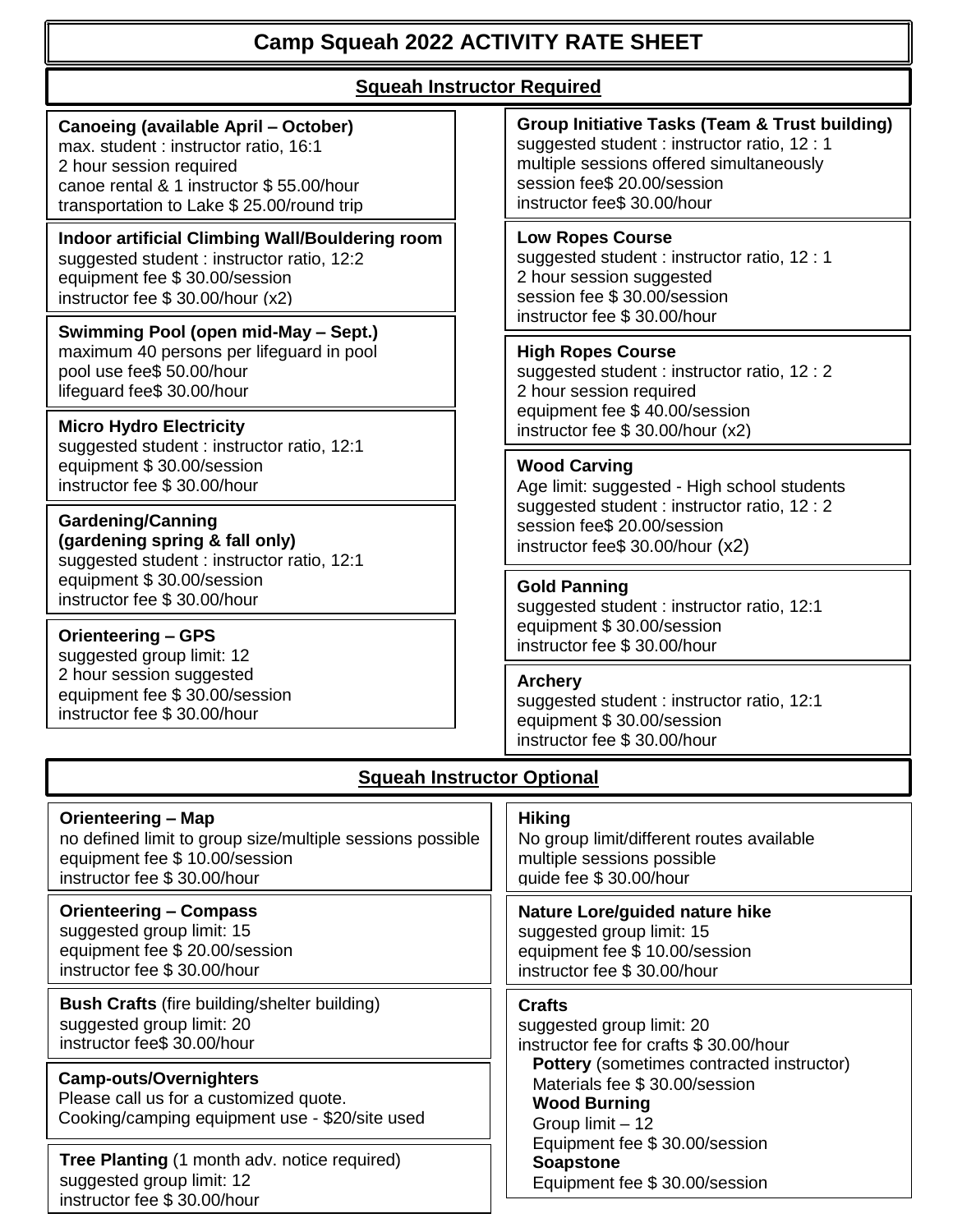# **Camp Squeah 2022 ACTIVITY RATE SHEET**

## **Squeah Instructor Required**

## **Canoeing (available April – October)**

max. student : instructor ratio, 16:1 2 hour session required canoe rental & 1 instructor \$ 55.00/hour transportation to Lake \$ 25.00/round trip

**Indoor artificial Climbing Wall/Bouldering room** suggested student : instructor ratio, 12:2 equipment fee \$ 30.00/session instructor fee \$ 30.00/hour (x2)

**Swimming Pool (open mid-May – Sept.)** maximum 40 persons per lifeguard in pool pool use fee\$ 50.00/hour lifeguard fee\$ 30.00/hour

**Micro Hydro Electricity** suggested student : instructor ratio, 12:1

equipment \$ 30.00/session instructor fee \$ 30.00/hour

**Gardening/Canning (gardening spring & fall only)** suggested student : instructor ratio, 12:1 equipment \$ 30.00/session instructor fee \$ 30.00/hour

## **Orienteering – GPS**

suggested group limit: 12 2 hour session suggested equipment fee \$ 30.00/session instructor fee \$ 30.00/hour

#### **Group Initiative Tasks (Team & Trust building)** suggested student : instructor ratio, 12 : 1 multiple sessions offered simultaneously session fee\$ 20.00/session instructor fee\$ 30.00/hour

#### **Low Ropes Course**

suggested student : instructor ratio, 12 : 1 2 hour session suggested session fee \$ 30.00/session instructor fee \$ 30.00/hour

#### **High Ropes Course**

suggested student : instructor ratio, 12 : 2 2 hour session required equipment fee \$ 40.00/session instructor fee \$ 30.00/hour (x2)

#### **Wood Carving**

Age limit: suggested - High school students suggested student : instructor ratio, 12 : 2 session fee\$ 20.00/session instructor fee\$ 30.00/hour (x2)

#### **Gold Panning**

suggested student : instructor ratio, 12:1 equipment \$ 30.00/session instructor fee \$ 30.00/hour

#### **Archery**

suggested student : instructor ratio, 12:1 equipment \$ 30.00/session instructor fee \$ 30.00/hour

#### **Hiking**  multiple sessions possible guide fee \$ 30.00/hour **Orienteering – Map**  no defined limit to group size/multiple sessions possible equipment fee \$ 10.00/session instructor fee \$ 30.00/hour **Orienteering – Compass** suggested group limit: 15 equipment fee \$ 20.00/session instructor fee \$ 30.00/hour **Bush Crafts** (fire building/shelter building) suggested group limit: 20 instructor fee\$ 30.00/hour suggested group limit: 15 equipment fee \$ 10.00/session instructor fee \$ 30.00/hour **Crafts** suggested group limit: 20 Materials fee \$ 30.00/session **Camp-outs/Overnighters**

Please call us for a customized quote. Cooking/camping equipment use - \$20/site used

**Tree Planting** (1 month adv. notice required) suggested group limit: 12 instructor fee \$ 30.00/hour

## **Squeah Instructor Optional**

No group limit/different routes available

**Nature Lore/guided nature hike**

instructor fee for crafts \$ 30.00/hour **Pottery** (sometimes contracted instructor) **Wood Burning** Group limit – 12 Equipment fee \$ 30.00/session  **Soapstone** Equipment fee \$ 30.00/session